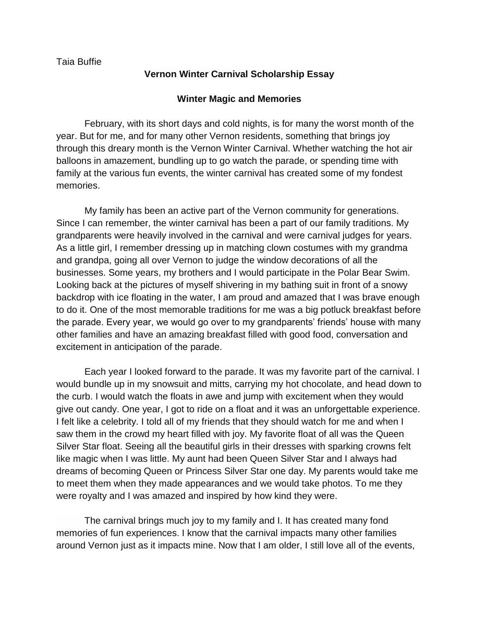## **Vernon Winter Carnival Scholarship Essay**

## **Winter Magic and Memories**

February, with its short days and cold nights, is for many the worst month of the year. But for me, and for many other Vernon residents, something that brings joy through this dreary month is the Vernon Winter Carnival. Whether watching the hot air balloons in amazement, bundling up to go watch the parade, or spending time with family at the various fun events, the winter carnival has created some of my fondest memories.

My family has been an active part of the Vernon community for generations. Since I can remember, the winter carnival has been a part of our family traditions. My grandparents were heavily involved in the carnival and were carnival judges for years. As a little girl, I remember dressing up in matching clown costumes with my grandma and grandpa, going all over Vernon to judge the window decorations of all the businesses. Some years, my brothers and I would participate in the Polar Bear Swim. Looking back at the pictures of myself shivering in my bathing suit in front of a snowy backdrop with ice floating in the water, I am proud and amazed that I was brave enough to do it. One of the most memorable traditions for me was a big potluck breakfast before the parade. Every year, we would go over to my grandparents' friends' house with many other families and have an amazing breakfast filled with good food, conversation and excitement in anticipation of the parade.

Each year I looked forward to the parade. It was my favorite part of the carnival. I would bundle up in my snowsuit and mitts, carrying my hot chocolate, and head down to the curb. I would watch the floats in awe and jump with excitement when they would give out candy. One year, I got to ride on a float and it was an unforgettable experience. I felt like a celebrity. I told all of my friends that they should watch for me and when I saw them in the crowd my heart filled with joy. My favorite float of all was the Queen Silver Star float. Seeing all the beautiful girls in their dresses with sparking crowns felt like magic when I was little. My aunt had been Queen Silver Star and I always had dreams of becoming Queen or Princess Silver Star one day. My parents would take me to meet them when they made appearances and we would take photos. To me they were royalty and I was amazed and inspired by how kind they were.

The carnival brings much joy to my family and I. It has created many fond memories of fun experiences. I know that the carnival impacts many other families around Vernon just as it impacts mine. Now that I am older, I still love all of the events,